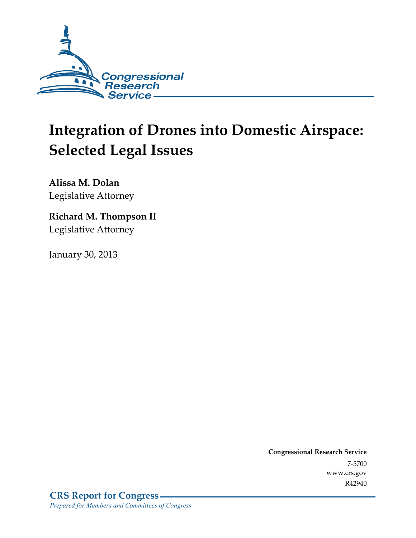

# **Integration of Drones into Domestic Airspace: Selected Legal Issues**

**Alissa M. Dolan**  Legislative Attorney

## **Richard M. Thompson II**  Legislative Attorney

January 30, 2013

**Congressional Research Service**  7-5700 www.crs.gov R42940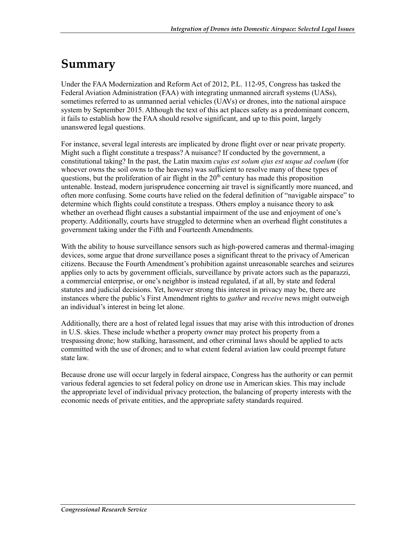## **Summary**

Under the FAA Modernization and Reform Act of 2012, P.L. 112-95, Congress has tasked the Federal Aviation Administration (FAA) with integrating unmanned aircraft systems (UASs), sometimes referred to as unmanned aerial vehicles (UAVs) or drones, into the national airspace system by September 2015. Although the text of this act places safety as a predominant concern, it fails to establish how the FAA should resolve significant, and up to this point, largely unanswered legal questions.

For instance, several legal interests are implicated by drone flight over or near private property. Might such a flight constitute a trespass? A nuisance? If conducted by the government, a constitutional taking? In the past, the Latin maxim *cujus est solum ejus est usque ad coelum* (for whoever owns the soil owns to the heavens) was sufficient to resolve many of these types of questions, but the proliferation of air flight in the  $20<sup>th</sup>$  century has made this proposition untenable. Instead, modern jurisprudence concerning air travel is significantly more nuanced, and often more confusing. Some courts have relied on the federal definition of "navigable airspace" to determine which flights could constitute a trespass. Others employ a nuisance theory to ask whether an overhead flight causes a substantial impairment of the use and enjoyment of one's property. Additionally, courts have struggled to determine when an overhead flight constitutes a government taking under the Fifth and Fourteenth Amendments.

With the ability to house surveillance sensors such as high-powered cameras and thermal-imaging devices, some argue that drone surveillance poses a significant threat to the privacy of American citizens. Because the Fourth Amendment's prohibition against unreasonable searches and seizures applies only to acts by government officials, surveillance by private actors such as the paparazzi, a commercial enterprise, or one's neighbor is instead regulated, if at all, by state and federal statutes and judicial decisions. Yet, however strong this interest in privacy may be, there are instances where the public's First Amendment rights to *gather* and *receive* news might outweigh an individual's interest in being let alone.

Additionally, there are a host of related legal issues that may arise with this introduction of drones in U.S. skies. These include whether a property owner may protect his property from a trespassing drone; how stalking, harassment, and other criminal laws should be applied to acts committed with the use of drones; and to what extent federal aviation law could preempt future state law.

Because drone use will occur largely in federal airspace, Congress has the authority or can permit various federal agencies to set federal policy on drone use in American skies. This may include the appropriate level of individual privacy protection, the balancing of property interests with the economic needs of private entities, and the appropriate safety standards required.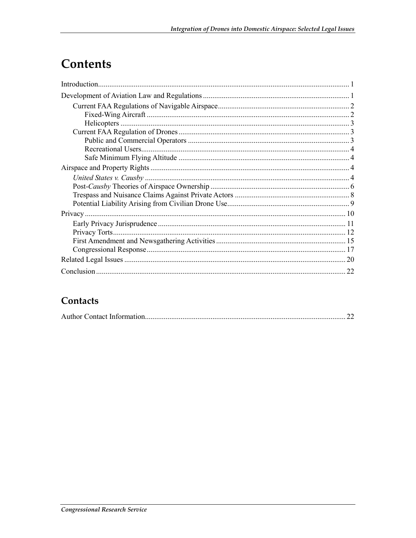## Contents

| 22 |
|----|

## Contacts

|--|--|--|--|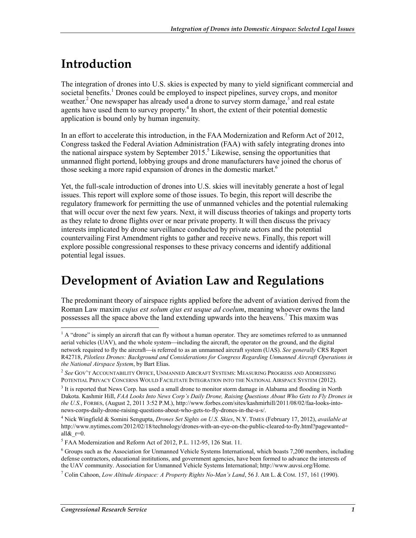## **Introduction**

The integration of drones into U.S. skies is expected by many to yield significant commercial and societal benefits.<sup>1</sup> Drones could be employed to inspect pipelines, survey crops, and monitor weather.<sup>2</sup> One newspaper has already used a drone to survey storm damage,  $3$  and real estate agents have used them to survey property.<sup>4</sup> In short, the extent of their potential domestic application is bound only by human ingenuity.

In an effort to accelerate this introduction, in the FAA Modernization and Reform Act of 2012, Congress tasked the Federal Aviation Administration (FAA) with safely integrating drones into the national airspace system by September 2015.<sup>5</sup> Likewise, sensing the opportunities that unmanned flight portend, lobbying groups and drone manufacturers have joined the chorus of those seeking a more rapid expansion of drones in the domestic market.<sup>6</sup>

Yet, the full-scale introduction of drones into U.S. skies will inevitably generate a host of legal issues. This report will explore some of those issues. To begin, this report will describe the regulatory framework for permitting the use of unmanned vehicles and the potential rulemaking that will occur over the next few years. Next, it will discuss theories of takings and property torts as they relate to drone flights over or near private property. It will then discuss the privacy interests implicated by drone surveillance conducted by private actors and the potential countervailing First Amendment rights to gather and receive news. Finally, this report will explore possible congressional responses to these privacy concerns and identify additional potential legal issues.

## **Development of Aviation Law and Regulations**

The predominant theory of airspace rights applied before the advent of aviation derived from the Roman Law maxim *cujus est solum ejus est usque ad coelum*, meaning whoever owns the land possesses all the space above the land extending upwards into the heavens.<sup>7</sup> This maxim was

<sup>&</sup>lt;sup>1</sup> A "drone" is simply an aircraft that can fly without a human operator. They are sometimes referred to as unmanned aerial vehicles (UAV), and the whole system—including the aircraft, the operator on the ground, and the digital network required to fly the aircraft—is referred to as an unmanned aircraft system (UAS). *See generally* CRS Report R42718, *Pilotless Drones: Background and Considerations for Congress Regarding Unmanned Aircraft Operations in the National Airspace System*, by Bart Elias.

<sup>2</sup> *See* GOV'T ACCOUNTABILITY OFFICE, UNMANNED AIRCRAFT SYSTEMS: MEASURING PROGRESS AND ADDRESSING POTENTIAL PRIVACY CONCERNS WOULD FACILITATE INTEGRATION INTO THE NATIONAL AIRSPACE SYSTEM (2012).

<sup>&</sup>lt;sup>3</sup> It is reported that News Corp. has used a small drone to monitor storm damage in Alabama and flooding in North Dakota. Kashmir Hill, *FAA Looks Into News Corp's Daily Drone, Raising Questions About Who Gets to Fly Drones in the U.S.*, FORBES, (August 2, 2011 3:52 P.M.), http://www.forbes.com/sites/kashmirhill/2011/08/02/faa-looks-intonews-corps-daily-drone-raising-questions-about-who-gets-to-fly-drones-in-the-u-s/.

<sup>4</sup> Nick Wingfield & Somini Sengupta, *Drones Set Sights on U.S. Skies*, N.Y. TIMES (February 17, 2012), *available at* http://www.nytimes.com/2012/02/18/technology/drones-with-an-eye-on-the-public-cleared-to-fly.html?pagewanted= all $\&$ r=0.

<sup>&</sup>lt;sup>5</sup> FAA Modernization and Reform Act of 2012, P.L. 112-95, 126 Stat. 11.

<sup>&</sup>lt;sup>6</sup> Groups such as the Association for Unmanned Vehicle Systems International, which boasts 7,200 members, including defense contractors, educational institutions, and government agencies, have been formed to advance the interests of the UAV community. Association for Unmanned Vehicle Systems International; http://www.auvsi.org/Home.

<sup>7</sup> Colin Cahoon, *Low Altitude Airspace: A Property Rights No-Man's Land*, 56 J. AIR L. & COM. 157, 161 (1990).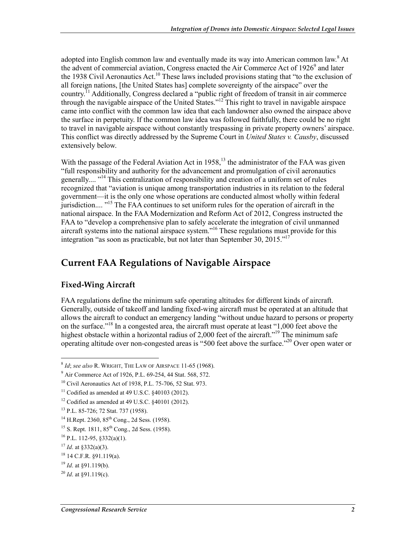adopted into English common law and eventually made its way into American common law.<sup>8</sup> At the advent of commercial aviation, Congress enacted the Air Commerce Act of 1926<sup>9</sup> and later the 1938 Civil Aeronautics Act.<sup>10</sup> These laws included provisions stating that "to the exclusion of all foreign nations, [the United States has] complete sovereignty of the airspace" over the country.<sup>11</sup> Additionally, Congress declared a "public right of freedom of transit in air commerce" through the navigable airspace of the United States."12 This right to travel in navigable airspace came into conflict with the common law idea that each landowner also owned the airspace above the surface in perpetuity. If the common law idea was followed faithfully, there could be no right to travel in navigable airspace without constantly trespassing in private property owners' airspace. This conflict was directly addressed by the Supreme Court in *United States v. Causby*, discussed extensively below.

With the passage of the Federal Aviation Act in  $1958$ ,<sup>13</sup> the administrator of the FAA was given "full responsibility and authority for the advancement and promulgation of civil aeronautics generally.... "<sup>14</sup> This centralization of responsibility and creation of a uniform set of rules recognized that "aviation is unique among transportation industries in its relation to the federal government—it is the only one whose operations are conducted almost wholly within federal jurisdiction.... "15 The FAA continues to set uniform rules for the operation of aircraft in the national airspace. In the FAA Modernization and Reform Act of 2012, Congress instructed the FAA to "develop a comprehensive plan to safely accelerate the integration of civil unmanned aircraft systems into the national airspace system."16 These regulations must provide for this integration "as soon as practicable, but not later than September 30, 2015."17

### **Current FAA Regulations of Navigable Airspace**

#### **Fixed-Wing Aircraft**

FAA regulations define the minimum safe operating altitudes for different kinds of aircraft. Generally, outside of takeoff and landing fixed-wing aircraft must be operated at an altitude that allows the aircraft to conduct an emergency landing "without undue hazard to persons or property on the surface."18 In a congested area, the aircraft must operate at least "1,000 feet above the highest obstacle within a horizontal radius of 2,000 feet of the aircraft."<sup>19</sup> The minimum safe operating altitude over non-congested areas is "500 feet above the surface."20 Over open water or

<sup>8</sup> *Id*; *see also* R. WRIGHT, THE LAW OF AIRSPACE 11-65 (1968).

<sup>&</sup>lt;sup>9</sup> Air Commerce Act of 1926, P.L. 69-254, 44 Stat. 568, 572.

<sup>10</sup> Civil Aeronautics Act of 1938, P.L. 75-706, 52 Stat. 973.

 $11$  Codified as amended at 49 U.S.C.  $§$ 40103 (2012).

 $12$  Codified as amended at 49 U.S.C. §40101 (2012).

<sup>13</sup> P.L. 85-726; 72 Stat. 737 (1958).

 $14$  H.Rept. 2360,  $85$ <sup>th</sup> Cong., 2d Sess. (1958).

<sup>&</sup>lt;sup>15</sup> S. Rept. 1811, 85<sup>th</sup> Cong., 2d Sess. (1958).

 $16$  P.L. 112-95, §332(a)(1).

 $17$  *Id.* at §332(a)(3).

<sup>18 14</sup> C.F.R. §91.119(a).

<sup>19</sup> *Id*. at §91.119(b).

<sup>20</sup> *Id*. at §91.119(c).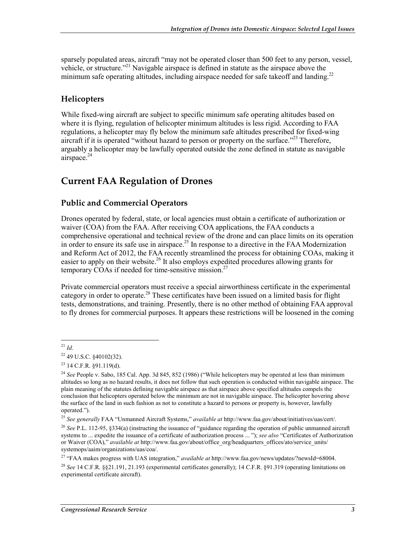sparsely populated areas, aircraft "may not be operated closer than 500 feet to any person, vessel, vehicle, or structure."<sup>21</sup> Navigable airspace is defined in statute as the airspace above the minimum safe operating altitudes, including airspace needed for safe takeoff and landing.<sup>22</sup>

#### **Helicopters**

While fixed-wing aircraft are subject to specific minimum safe operating altitudes based on where it is flying, regulation of helicopter minimum altitudes is less rigid. According to FAA regulations, a helicopter may fly below the minimum safe altitudes prescribed for fixed-wing aircraft if it is operated "without hazard to person or property on the surface."<sup>23</sup> Therefore, arguably a helicopter may be lawfully operated outside the zone defined in statute as navigable airspace.<sup>24</sup>

### **Current FAA Regulation of Drones**

#### **Public and Commercial Operators**

Drones operated by federal, state, or local agencies must obtain a certificate of authorization or waiver (COA) from the FAA. After receiving COA applications, the FAA conducts a comprehensive operational and technical review of the drone and can place limits on its operation in order to ensure its safe use in airspace.<sup>25</sup> In response to a directive in the FAA Modernization and Reform Act of 2012, the FAA recently streamlined the process for obtaining COAs, making it easier to apply on their website.<sup>26</sup> It also employs expedited procedures allowing grants for temporary COAs if needed for time-sensitive mission.<sup>27</sup>

Private commercial operators must receive a special airworthiness certificate in the experimental category in order to operate.<sup>28</sup> These certificates have been issued on a limited basis for flight tests, demonstrations, and training. Presently, there is no other method of obtaining FAA approval to fly drones for commercial purposes. It appears these restrictions will be loosened in the coming

<sup>1</sup> <sup>21</sup> *Id*.

<sup>22 49</sup> U.S.C. §40102(32).

<sup>23 14</sup> C.F.R. §91.119(d).

<sup>&</sup>lt;sup>24</sup> See People v. Sabo, 185 Cal. App. 3d 845, 852 (1986) ("While helicopters may be operated at less than minimum altitudes so long as no hazard results, it does not follow that such operation is conducted within navigable airspace. The plain meaning of the statutes defining navigable airspace as that airspace above specified altitudes compels the conclusion that helicopters operated below the minimum are not in navigable airspace. The helicopter hovering above the surface of the land in such fashion as not to constitute a hazard to persons or property is, however, lawfully operated.").

<sup>25</sup> *See generally* FAA "Unmanned Aircraft Systems," *available at* http://www.faa.gov/about/initiatives/uas/cert/.

<sup>26</sup> *See* P.L. 112-95, §334(a) (instructing the issuance of "guidance regarding the operation of public unmanned aircraft systems to ... expedite the issuance of a certificate of authorization process ... "); *see also* "Certificates of Authorization or Waiver (COA)," *available at* http://www.faa.gov/about/office\_org/headquarters\_offices/ato/service\_units/ systemops/aaim/organizations/uas/coa/.

<sup>27 &</sup>quot;FAA makes progress with UAS integration," *available at* http://www.faa.gov/news/updates/?newsId=68004. <sup>28</sup> *See* 14 C.F.R. §§21.191, 21.193 (experimental certificates generally); 14 C.F.R. §91.319 (operating limitations on experimental certificate aircraft).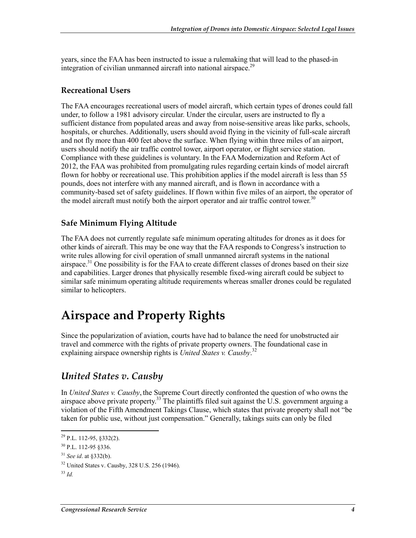years, since the FAA has been instructed to issue a rulemaking that will lead to the phased-in integration of civilian unmanned aircraft into national airspace.<sup>29</sup>

#### **Recreational Users**

The FAA encourages recreational users of model aircraft, which certain types of drones could fall under, to follow a 1981 advisory circular. Under the circular, users are instructed to fly a sufficient distance from populated areas and away from noise-sensitive areas like parks, schools, hospitals, or churches. Additionally, users should avoid flying in the vicinity of full-scale aircraft and not fly more than 400 feet above the surface. When flying within three miles of an airport, users should notify the air traffic control tower, airport operator, or flight service station. Compliance with these guidelines is voluntary. In the FAA Modernization and Reform Act of 2012, the FAA was prohibited from promulgating rules regarding certain kinds of model aircraft flown for hobby or recreational use. This prohibition applies if the model aircraft is less than 55 pounds, does not interfere with any manned aircraft, and is flown in accordance with a community-based set of safety guidelines. If flown within five miles of an airport, the operator of the model aircraft must notify both the airport operator and air traffic control tower.<sup>30</sup>

#### **Safe Minimum Flying Altitude**

The FAA does not currently regulate safe minimum operating altitudes for drones as it does for other kinds of aircraft. This may be one way that the FAA responds to Congress's instruction to write rules allowing for civil operation of small unmanned aircraft systems in the national airspace.<sup>31</sup> One possibility is for the FAA to create different classes of drones based on their size and capabilities. Larger drones that physically resemble fixed-wing aircraft could be subject to similar safe minimum operating altitude requirements whereas smaller drones could be regulated similar to helicopters.

## **Airspace and Property Rights**

Since the popularization of aviation, courts have had to balance the need for unobstructed air travel and commerce with the rights of private property owners. The foundational case in explaining airspace ownership rights is *United States v. Causby*. 32

### *United States v. Causby*

In *United States v. Causby*, the Supreme Court directly confronted the question of who owns the airspace above private property.<sup>33</sup> The plaintiffs filed suit against the U.S. government arguing a violation of the Fifth Amendment Takings Clause, which states that private property shall not "be taken for public use, without just compensation." Generally, takings suits can only be filed

 $^{29}$  P.L. 112-95, §332(2).

<sup>30</sup> P.L. 112-95 §336.

<sup>31</sup> *See id*. at §332(b).

 $32$  United States v. Causby,  $328$  U.S.  $256$  (1946).

<sup>33</sup> *Id.*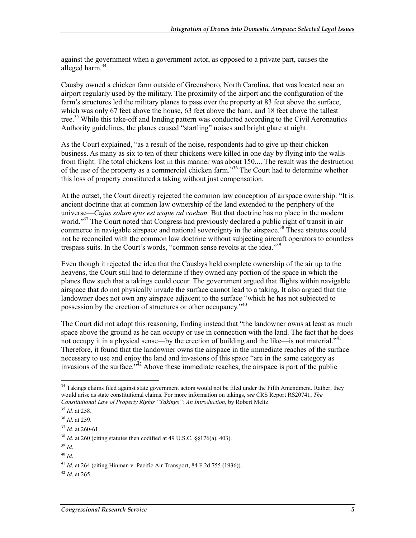against the government when a government actor, as opposed to a private part, causes the alleged harm. $34$ 

Causby owned a chicken farm outside of Greensboro, North Carolina, that was located near an airport regularly used by the military. The proximity of the airport and the configuration of the farm's structures led the military planes to pass over the property at 83 feet above the surface, which was only 67 feet above the house, 63 feet above the barn, and 18 feet above the tallest tree.<sup>35</sup> While this take-off and landing pattern was conducted according to the Civil Aeronautics Authority guidelines, the planes caused "startling" noises and bright glare at night.

As the Court explained, "as a result of the noise, respondents had to give up their chicken business. As many as six to ten of their chickens were killed in one day by flying into the walls from fright. The total chickens lost in this manner was about 150.... The result was the destruction of the use of the property as a commercial chicken farm."<sup>36</sup> The Court had to determine whether this loss of property constituted a taking without just compensation.

At the outset, the Court directly rejected the common law conception of airspace ownership: "It is ancient doctrine that at common law ownership of the land extended to the periphery of the universe—*Cujus solum ejus est usque ad coelum.* But that doctrine has no place in the modern world."<sup>37</sup> The Court noted that Congress had previously declared a public right of transit in air commerce in navigable airspace and national sovereignty in the airspace.<sup>38</sup> These statutes could not be reconciled with the common law doctrine without subjecting aircraft operators to countless trespass suits. In the Court's words, "common sense revolts at the idea."39

Even though it rejected the idea that the Causbys held complete ownership of the air up to the heavens, the Court still had to determine if they owned any portion of the space in which the planes flew such that a takings could occur. The government argued that flights within navigable airspace that do not physically invade the surface cannot lead to a taking. It also argued that the landowner does not own any airspace adjacent to the surface "which he has not subjected to possession by the erection of structures or other occupancy.<sup>340</sup>

The Court did not adopt this reasoning, finding instead that "the landowner owns at least as much space above the ground as he can occupy or use in connection with the land. The fact that he does not occupy it in a physical sense—by the erection of building and the like—is not material."<sup>41</sup> Therefore, it found that the landowner owns the airspace in the immediate reaches of the surface necessary to use and enjoy the land and invasions of this space "are in the same category as invasions of the surface.<sup> $342$ </sup> Above these immediate reaches, the airspace is part of the public

 $34$  Takings claims filed against state government actors would not be filed under the Fifth Amendment. Rather, they would arise as state constitutional claims. For more information on takings, *see* CRS Report RS20741, *The Constitutional Law of Property Rights "Takings": An Introduction*, by Robert Meltz.

<sup>35</sup> *Id.* at 258.

<sup>36</sup> *Id*. at 259.

<sup>37</sup> *Id.* at 260-61.

<sup>38</sup> *Id*. at 260 (citing statutes then codified at 49 U.S.C. §§176(a), 403).

<sup>39</sup> *Id*.

<sup>40</sup> *Id*.

<sup>41</sup> *Id*. at 264 (citing Hinman v. Pacific Air Transport, 84 F.2d 755 (1936)).

<sup>42</sup> *Id*. at 265.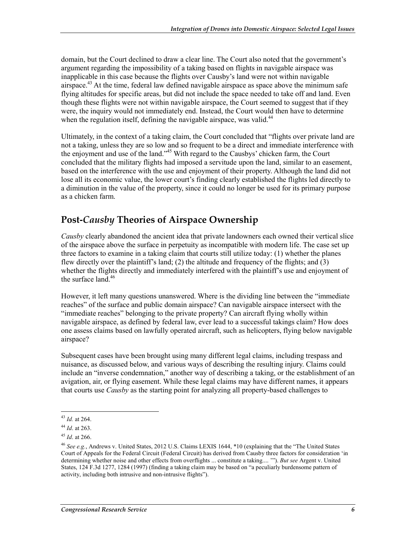domain, but the Court declined to draw a clear line. The Court also noted that the government's argument regarding the impossibility of a taking based on flights in navigable airspace was inapplicable in this case because the flights over Causby's land were not within navigable airspace.<sup>43</sup> At the time, federal law defined navigable airspace as space above the minimum safe flying altitudes for specific areas, but did not include the space needed to take off and land. Even though these flights were not within navigable airspace, the Court seemed to suggest that if they were, the inquiry would not immediately end. Instead, the Court would then have to determine when the regulation itself, defining the navigable airspace, was valid.<sup>44</sup>

Ultimately, in the context of a taking claim, the Court concluded that "flights over private land are not a taking, unless they are so low and so frequent to be a direct and immediate interference with the enjoyment and use of the land."45 With regard to the Causbys' chicken farm, the Court concluded that the military flights had imposed a servitude upon the land, similar to an easement, based on the interference with the use and enjoyment of their property. Although the land did not lose all its economic value, the lower court's finding clearly established the flights led directly to a diminution in the value of the property, since it could no longer be used for its primary purpose as a chicken farm.

### **Post-***Causby* **Theories of Airspace Ownership**

*Causby* clearly abandoned the ancient idea that private landowners each owned their vertical slice of the airspace above the surface in perpetuity as incompatible with modern life. The case set up three factors to examine in a taking claim that courts still utilize today: (1) whether the planes flew directly over the plaintiff's land; (2) the altitude and frequency of the flights; and (3) whether the flights directly and immediately interfered with the plaintiff's use and enjoyment of the surface land. $46$ 

However, it left many questions unanswered. Where is the dividing line between the "immediate reaches" of the surface and public domain airspace? Can navigable airspace intersect with the "immediate reaches" belonging to the private property? Can aircraft flying wholly within navigable airspace, as defined by federal law, ever lead to a successful takings claim? How does one assess claims based on lawfully operated aircraft, such as helicopters, flying below navigable airspace?

Subsequent cases have been brought using many different legal claims, including trespass and nuisance, as discussed below, and various ways of describing the resulting injury. Claims could include an "inverse condemnation," another way of describing a taking, or the establishment of an avigation, air, or flying easement. While these legal claims may have different names, it appears that courts use *Causby* as the starting point for analyzing all property-based challenges to

<sup>43</sup> *Id.* at 264.

<sup>44</sup> *Id*. at 263.

<sup>45</sup> *Id*. at 266.

<sup>46</sup> *See e.g.*, Andrews v. United States, 2012 U.S. Claims LEXIS 1644, \*10 (explaining that the "The United States Court of Appeals for the Federal Circuit (Federal Circuit) has derived from Causby three factors for consideration 'in determining whether noise and other effects from overflights ... constitute a taking.... '"). *But see* Argent v. United States, 124 F.3d 1277, 1284 (1997) (finding a taking claim may be based on "a peculiarly burdensome pattern of activity, including both intrusive and non-intrusive flights").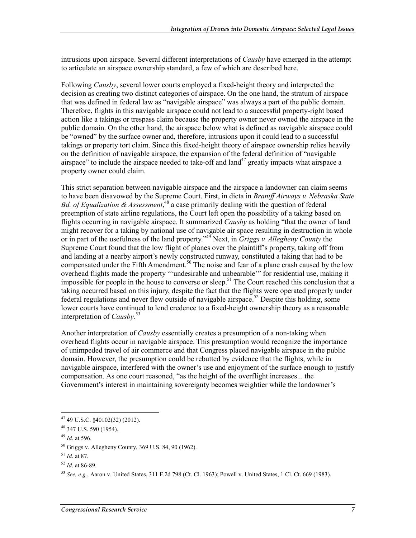intrusions upon airspace. Several different interpretations of *Causby* have emerged in the attempt to articulate an airspace ownership standard, a few of which are described here.

Following *Causby*, several lower courts employed a fixed-height theory and interpreted the decision as creating two distinct categories of airspace. On the one hand, the stratum of airspace that was defined in federal law as "navigable airspace" was always a part of the public domain. Therefore, flights in this navigable airspace could not lead to a successful property-right based action like a takings or trespass claim because the property owner never owned the airspace in the public domain. On the other hand, the airspace below what is defined as navigable airspace could be "owned" by the surface owner and, therefore, intrusions upon it could lead to a successful takings or property tort claim. Since this fixed-height theory of airspace ownership relies heavily on the definition of navigable airspace, the expansion of the federal definition of "navigable airspace" to include the airspace needed to take-off and  $land<sup>47</sup>$  greatly impacts what airspace a property owner could claim.

This strict separation between navigable airspace and the airspace a landowner can claim seems to have been disavowed by the Supreme Court. First, in dicta in *Braniff Airways v. Nebraska State*  Bd. of Equalization & Assessment,<sup>48</sup> a case primarily dealing with the question of federal preemption of state airline regulations, the Court left open the possibility of a taking based on flights occurring in navigable airspace. It summarized *Causby* as holding "that the owner of land might recover for a taking by national use of navigable air space resulting in destruction in whole or in part of the usefulness of the land property."49 Next, in *Griggs v. Allegheny County* the Supreme Court found that the low flight of planes over the plaintiff's property, taking off from and landing at a nearby airport's newly constructed runway, constituted a taking that had to be compensated under the Fifth Amendment.<sup>50</sup> The noise and fear of a plane crash caused by the low overhead flights made the property "'undesirable and unbearable'" for residential use, making it impossible for people in the house to converse or sleep.<sup>51</sup> The Court reached this conclusion that a taking occurred based on this injury, despite the fact that the flights were operated properly under federal regulations and never flew outside of navigable airspace.<sup>52</sup> Despite this holding, some lower courts have continued to lend credence to a fixed-height ownership theory as a reasonable interpretation of *Causby*. 53

Another interpretation of *Causby* essentially creates a presumption of a non-taking when overhead flights occur in navigable airspace. This presumption would recognize the importance of unimpeded travel of air commerce and that Congress placed navigable airspace in the public domain. However, the presumption could be rebutted by evidence that the flights, while in navigable airspace, interfered with the owner's use and enjoyment of the surface enough to justify compensation. As one court reasoned, "as the height of the overflight increases... the Government's interest in maintaining sovereignty becomes weightier while the landowner's

 $47$  49 U.S.C. §40102(32) (2012).

<sup>48 347</sup> U.S. 590 (1954).

<sup>49</sup> *Id*. at 596.

<sup>50</sup> Griggs v. Allegheny County, 369 U.S. 84, 90 (1962).

<sup>51</sup> *Id*. at 87.

<sup>52</sup> *Id*. at 86-89.

<sup>53</sup> *See, e.g.*, Aaron v. United States, 311 F.2d 798 (Ct. Cl. 1963); Powell v. United States, 1 Cl. Ct. 669 (1983).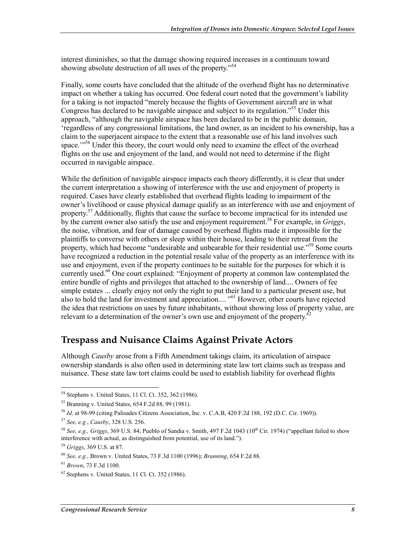interest diminishes, so that the damage showing required increases in a continuum toward showing absolute destruction of all uses of the property."54

Finally, some courts have concluded that the altitude of the overhead flight has no determinative impact on whether a taking has occurred. One federal court noted that the government's liability for a taking is not impacted "merely because the flights of Government aircraft are in what Congress has declared to be navigable airspace and subject to its regulation."55 Under this approach, "although the navigable airspace has been declared to be in the public domain, 'regardless of any congressional limitations, the land owner, as an incident to his ownership, has a claim to the superjacent airspace to the extent that a reasonable use of his land involves such space.'"<sup>56</sup> Under this theory, the court would only need to examine the effect of the overhead flights on the use and enjoyment of the land, and would not need to determine if the flight occurred in navigable airspace.

While the definition of navigable airspace impacts each theory differently, it is clear that under the current interpretation a showing of interference with the use and enjoyment of property is required. Cases have clearly established that overhead flights leading to impairment of the owner's livelihood or cause physical damage qualify as an interference with use and enjoyment of property.<sup>57</sup> Additionally, flights that cause the surface to become impractical for its intended use by the current owner also satisfy the use and enjoyment requirement.58 For example, in *Griggs*, the noise, vibration, and fear of damage caused by overhead flights made it impossible for the plaintiffs to converse with others or sleep within their house, leading to their retreat from the property, which had become "undesirable and unbearable for their residential use."<sup>59</sup> Some courts have recognized a reduction in the potential resale value of the property as an interference with its use and enjoyment, even if the property continues to be suitable for the purposes for which it is currently used.<sup>60</sup> One court explained: "Enjoyment of property at common law contemplated the entire bundle of rights and privileges that attached to the ownership of land.... Owners of fee simple estates ... clearly enjoy not only the right to put their land to a particular present use, but also to hold the land for investment and appreciation.... "61 However, other courts have rejected the idea that restrictions on uses by future inhabitants, without showing loss of property value, are relevant to a determination of the owner's own use and enjoyment of the property.<sup>6</sup>

#### **Trespass and Nuisance Claims Against Private Actors**

Although *Causby* arose from a Fifth Amendment takings claim, its articulation of airspace ownership standards is also often used in determining state law tort claims such as trespass and nuisance. These state law tort claims could be used to establish liability for overhead flights

<sup>54</sup> Stephens v. United States, 11 Cl. Ct. 352, 362 (1986).

<sup>55</sup> Branning v. United States, 654 F.2d 88, 99 (1981).

<sup>56</sup> *Id*. at 98-99 (citing Palisades Citizens Association, Inc. v. C.A.B, 420 F.2d 188, 192 (D.C. Cir. 1969)).

<sup>57</sup> *See, e.g.*, *Causby*, 328 U.S. 256.

<sup>58</sup> *See, e.g., Griggs*, 369 U.S. 84; Pueblo of Sandia v. Smith, 497 F.2d 1043 (10th Cir. 1974) ("appellant failed to show interference with actual, as distinguished from potential, use of its land.").

<sup>59</sup> *Griggs*, 369 U.S. at 87.

<sup>60</sup> *See, e.g.*, Brown v. United States, 73 F.3d 1100 (1996); *Branning*, 654 F.2d 88.

<sup>61</sup> *Brown*, 73 F.3d 1100.

 $62$  Stephens v. United States, 11 Cl. Ct. 352 (1986).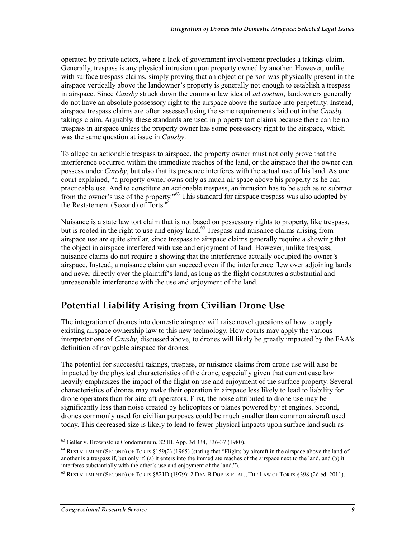operated by private actors, where a lack of government involvement precludes a takings claim. Generally, trespass is any physical intrusion upon property owned by another. However, unlike with surface trespass claims, simply proving that an object or person was physically present in the airspace vertically above the landowner's property is generally not enough to establish a trespass in airspace. Since *Causby* struck down the common law idea of *ad coelum*, landowners generally do not have an absolute possessory right to the airspace above the surface into perpetuity. Instead, airspace trespass claims are often assessed using the same requirements laid out in the *Causby* takings claim. Arguably, these standards are used in property tort claims because there can be no trespass in airspace unless the property owner has some possessory right to the airspace, which was the same question at issue in *Causby*.

To allege an actionable trespass to airspace, the property owner must not only prove that the interference occurred within the immediate reaches of the land, or the airspace that the owner can possess under *Causby*, but also that its presence interferes with the actual use of his land. As one court explained, "a property owner owns only as much air space above his property as he can practicable use. And to constitute an actionable trespass, an intrusion has to be such as to subtract from the owner's use of the property."<sup>63</sup> This standard for airspace trespass was also adopted by the Restatement (Second) of Torts.<sup>64</sup>

Nuisance is a state law tort claim that is not based on possessory rights to property, like trespass, but is rooted in the right to use and enjoy land.<sup>65</sup> Trespass and nuisance claims arising from airspace use are quite similar, since trespass to airspace claims generally require a showing that the object in airspace interfered with use and enjoyment of land. However, unlike trespass, nuisance claims do not require a showing that the interference actually occupied the owner's airspace. Instead, a nuisance claim can succeed even if the interference flew over adjoining lands and never directly over the plaintiff's land, as long as the flight constitutes a substantial and unreasonable interference with the use and enjoyment of the land.

## **Potential Liability Arising from Civilian Drone Use**

The integration of drones into domestic airspace will raise novel questions of how to apply existing airspace ownership law to this new technology. How courts may apply the various interpretations of *Causby*, discussed above, to drones will likely be greatly impacted by the FAA's definition of navigable airspace for drones.

The potential for successful takings, trespass, or nuisance claims from drone use will also be impacted by the physical characteristics of the drone, especially given that current case law heavily emphasizes the impact of the flight on use and enjoyment of the surface property. Several characteristics of drones may make their operation in airspace less likely to lead to liability for drone operators than for aircraft operators. First, the noise attributed to drone use may be significantly less than noise created by helicopters or planes powered by jet engines. Second, drones commonly used for civilian purposes could be much smaller than common aircraft used today. This decreased size is likely to lead to fewer physical impacts upon surface land such as

<sup>63</sup> Geller v. Brownstone Condominium, 82 Ill. App. 3d 334, 336-37 (1980).

<sup>64</sup> RESTATEMENT (SECOND) OF TORTS §159(2) (1965) (stating that "Flights by aircraft in the airspace above the land of another is a trespass if, but only if, (a) it enters into the immediate reaches of the airspace next to the land, and (b) it interferes substantially with the other's use and enjoyment of the land.").

<sup>65</sup> RESTATEMENT (SECOND) OF TORTS §821D (1979); 2 DAN B DOBBS ET AL., THE LAW OF TORTS §398 (2d ed. 2011).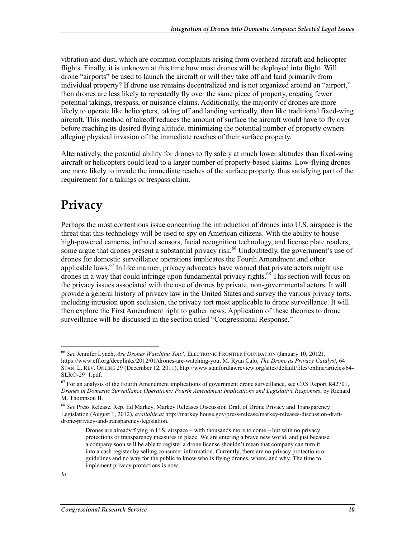vibration and dust, which are common complaints arising from overhead aircraft and helicopter flights. Finally, it is unknown at this time how most drones will be deployed into flight. Will drone "airports" be used to launch the aircraft or will they take off and land primarily from individual property? If drone use remains decentralized and is not organized around an "airport," then drones are less likely to repeatedly fly over the same piece of property, creating fewer potential takings, trespass, or nuisance claims. Additionally, the majority of drones are more likely to operate like helicopters, taking off and landing vertically, than like traditional fixed-wing aircraft. This method of takeoff reduces the amount of surface the aircraft would have to fly over before reaching its desired flying altitude, minimizing the potential number of property owners alleging physical invasion of the immediate reaches of their surface property.

Alternatively, the potential ability for drones to fly safely at much lower altitudes than fixed-wing aircraft or helicopters could lead to a larger number of property-based claims. Low-flying drones are more likely to invade the immediate reaches of the surface property, thus satisfying part of the requirement for a takings or trespass claim.

## **Privacy**

Perhaps the most contentious issue concerning the introduction of drones into U.S. airspace is the threat that this technology will be used to spy on American citizens. With the ability to house high-powered cameras, infrared sensors, facial recognition technology, and license plate readers, some argue that drones present a substantial privacy risk.<sup>66</sup> Undoubtedly, the government's use of drones for domestic surveillance operations implicates the Fourth Amendment and other applicable laws.<sup>67</sup> In like manner, privacy advocates have warned that private actors might use drones in a way that could infringe upon fundamental privacy rights.<sup>68</sup> This section will focus on the privacy issues associated with the use of drones by private, non-governmental actors. It will provide a general history of privacy law in the United States and survey the various privacy torts, including intrusion upon seclusion, the privacy tort most applicable to drone surveillance. It will then explore the First Amendment right to gather news. Application of these theories to drone surveillance will be discussed in the section titled "Congressional Response."

<sup>66</sup> *See* Jennifer Lynch, *Are Drones Watching You?*, ELECTRONIC FRONTIER FOUNDATION (January 10, 2012), https://www.eff.org/deeplinks/2012/01/drones-are-watching-you; M. Ryan Calo, *The Drone as Privacy Catalyst*, 64 STAN. L. REV. ONLINE 29 (December 12, 2011), http://www.stanfordlawreview.org/sites/default/files/online/articles/64- SLRO-29\_1.pdf.

 $67$  For an analysis of the Fourth Amendment implications of government drone surveillance, see CRS Report R42701, *Drones in Domestic Surveillance Operations: Fourth Amendment Implications and Legislative Responses*, by Richard M. Thompson II.

<sup>68</sup> *See* Press Release, Rep. Ed Markey, Markey Releases Discussion Draft of Drone Privacy and Transparency Legislation (August 1, 2012), *available at* http://markey.house.gov/press-release/markey-releases-discussion-draftdrone-privacy-and-transparency-legislation.

Drones are already flying in U.S. airspace – with thousands more to come – but with no privacy protections or transparency measures in place. We are entering a brave new world, and just because a company soon will be able to register a drone license shouldn't mean that company can turn it into a cash register by selling consumer information. Currently, there are no privacy protections or guidelines and no way for the public to know who is flying drones, where, and why. The time to implement privacy protections is now.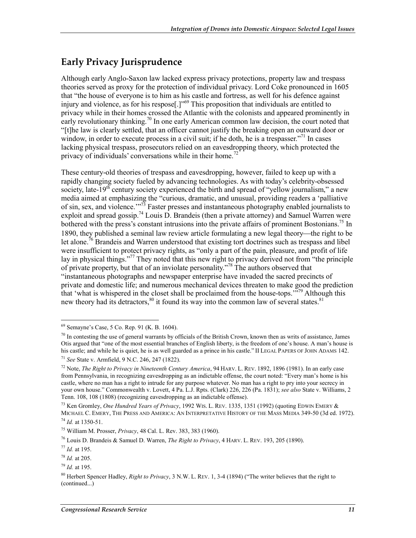## **Early Privacy Jurisprudence**

Although early Anglo-Saxon law lacked express privacy protections, property law and trespass theories served as proxy for the protection of individual privacy. Lord Coke pronounced in 1605 that "the house of everyone is to him as his castle and fortress, as well for his defence against injury and violence, as for his respose<sup>[1]"69</sup> This proposition that individuals are entitled to privacy while in their homes crossed the Atlantic with the colonists and appeared prominently in early revolutionary thinking.<sup>70</sup> In one early American common law decision, the court noted that "[t]he law is clearly settled, that an officer cannot justify the breaking open an outward door or window, in order to execute process in a civil suit; if he doth, he is a trespasser."<sup>71</sup> In cases lacking physical trespass, prosecutors relied on an eavesdropping theory, which protected the privacy of individuals' conversations while in their home.<sup>72</sup>

These century-old theories of trespass and eavesdropping, however, failed to keep up with a rapidly changing society fueled by advancing technologies. As with today's celebrity-obsessed society, late-19<sup>th</sup> century society experienced the birth and spread of "yellow journalism," a new media aimed at emphasizing the "curious, dramatic, and unusual, providing readers a 'palliative of sin, sex, and violence.'"73 Faster presses and instantaneous photography enabled journalists to exploit and spread gossip.74 Louis D. Brandeis (then a private attorney) and Samuel Warren were bothered with the press's constant intrusions into the private affairs of prominent Bostonians.<sup>75</sup> In 1890, they published a seminal law review article formulating a new legal theory—the right to be let alone.<sup>76</sup> Brandeis and Warren understood that existing tort doctrines such as trespass and libel were insufficient to protect privacy rights, as "only a part of the pain, pleasure, and profit of life lay in physical things."<sup>77</sup> They noted that this new right to privacy derived not from "the principle" of private property, but that of an inviolate personality.<sup> $3\pi$ </sup> The authors observed that "instantaneous photographs and newspaper enterprise have invaded the sacred precincts of private and domestic life; and numerous mechanical devices threaten to make good the prediction that 'what is whispered in the closet shall be proclaimed from the house-tops."<sup> $\frac{1}{2}$ 9 Although this</sup> new theory had its detractors,  $80$  it found its way into the common law of several states.  $81$ 

<sup>69</sup> Semayne's Case, 5 Co. Rep. 91 (K. B. 1604).

 $70$  In contesting the use of general warrants by officials of the British Crown, known then as writs of assistance, James Otis argued that "one of the most essential branches of English liberty, is the freedom of one's house. A man's house is his castle; and while he is quiet, he is as well guarded as a prince in his castle." II LEGAL PAPERS OF JOHN ADAMS 142.

<sup>71</sup> *See* State v. Armfield, 9 N.C. 246, 247 (1822).

<sup>72</sup> Note, *The Right to Privacy in Nineteenth Century America*, 94 HARV. L. REV. 1892, 1896 (1981). In an early case from Pennsylvania, in recognizing eavesdropping as an indictable offense, the court noted: "Every man's home is his castle, where no man has a right to intrude for any purpose whatever. No man has a right to pry into your secrecy in your own house." Commonwealth v. Lovett, 4 Pa. L.J. Rpts. (Clark) 226, 226 (Pa. 1831); *see also* State v. Williams, 2 Tenn. 108, 108 (1808) (recognizing eavesdropping as an indictable offense).

<sup>73</sup> Ken Gromley, *One Hundred Years of Privacy*, 1992 WIS. L. REV. 1335, 1351 (1992) (quoting EDWIN EMERY & MICHAEL C. EMERY, THE PRESS AND AMERICA: AN INTERPRETATIVE HISTORY OF THE MASS MEDIA 349-50 (3d ed. 1972). <sup>74</sup> *Id.* at 1350-51.

<sup>75</sup> William M. Prosser, *Privacy*, 48 Cal. L. Rev. 383, 383 (1960).

<sup>76</sup> Louis D. Brandeis & Samuel D. Warren, *The Right to Privacy*, 4 HARV. L. REV. 193, 205 (1890).

<sup>77</sup> *Id.* at 195.

<sup>78</sup> *Id.* at 205.

<sup>79</sup> *Id.* at 195.

<sup>80</sup> Herbert Spencer Hadley, *Right to Privacy*, 3 N.W. L. REV. 1, 3-4 (1894) ("The writer believes that the right to (continued...)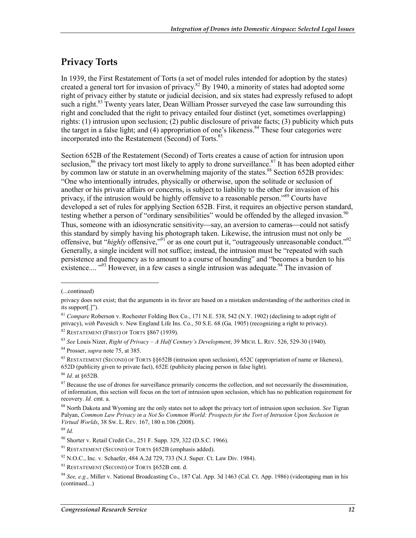## **Privacy Torts**

In 1939, the First Restatement of Torts (a set of model rules intended for adoption by the states) created a general tort for invasion of privacy.<sup>82</sup> By 1940, a minority of states had adopted some right of privacy either by statute or judicial decision, and six states had expressly refused to adopt such a right.<sup>83</sup> Twenty years later, Dean William Prosser surveyed the case law surrounding this right and concluded that the right to privacy entailed four distinct (yet, sometimes overlapping) rights: (1) intrusion upon seclusion; (2) public disclosure of private facts; (3) publicity which puts the target in a false light; and (4) appropriation of one's likeness.<sup>84</sup> These four categories were incorporated into the Restatement (Second) of Torts.<sup>85</sup>

Section 652B of the Restatement (Second) of Torts creates a cause of action for intrusion upon seclusion,<sup>86</sup> the privacy tort most likely to apply to drone surveillance.<sup>87</sup> It has been adopted either by common law or statute in an overwhelming majority of the states.<sup>88</sup> Section 652B provides: "One who intentionally intrudes, physically or otherwise, upon the solitude or seclusion of another or his private affairs or concerns, is subject to liability to the other for invasion of his privacy, if the intrusion would be highly offensive to a reasonable person."<sup>89</sup> Courts have developed a set of rules for applying Section 652B. First, it requires an objective person standard, testing whether a person of "ordinary sensibilities" would be offended by the alleged invasion.<sup>90</sup> Thus, someone with an idiosyncratic sensitivity—say, an aversion to cameras—could not satisfy this standard by simply having his photograph taken. Likewise, the intrusion must not only be offensive, but "*highly* offensive,"<sup>91</sup> or as one court put it, "outrageously unreasonable conduct."<sup>92</sup> Generally, a single incident will not suffice; instead, the intrusion must be "repeated with such persistence and frequency as to amount to a course of hounding" and "becomes a burden to his existence....  $^{93}$  However, in a few cases a single intrusion was adequate.<sup>94</sup> The invasion of

<sup>(...</sup>continued)

privacy does not exist; that the arguments in its favor are based on a mistaken understanding of the authorities cited in its support[.]").

<sup>&</sup>lt;sup>81</sup> *Compare* Roberson v. Rochester Folding Box Co., 171 N.E. 538, 542 (N.Y. 1902) (declining to adopt right of privacy), *with* Pavesich v. New England Life Ins. Co., 50 S.E. 68 (Ga. 1905) (recognizing a right to privacy).

<sup>82</sup> RESTATEMENT (FIRST) OF TORTS §867 (1939).

<sup>83</sup> *See* Louis Nizer, *Right of Privacy – A Half Century's Development*, 39 MICH. L. REV. 526, 529-30 (1940).

<sup>84</sup> Prosser, *supra* note 75, at 385.

<sup>&</sup>lt;sup>85</sup> RESTATEMENT (SECOND) OF TORTS §§652B (intrusion upon seclusion), 652C (appropriation of name or likeness), 652D (publicity given to private fact), 652E (publicity placing person in false light).

<sup>86</sup> *Id*. at §652B.

<sup>&</sup>lt;sup>87</sup> Because the use of drones for surveillance primarily concerns the collection, and not necessarily the dissemination, of information, this section will focus on the tort of intrusion upon seclusion, which has no publication requirement for recovery. *Id.* cmt. a.

<sup>88</sup> North Dakota and Wyoming are the only states not to adopt the privacy tort of intrusion upon seclusion. *See* Tigran Palyan, *Common Law Privacy in a Not So Common World: Prospects for the Tort of Intrusion Upon Seclusion in Virtual Worlds*, 38 SW. L. REV. 167, 180 n.106 (2008).

<sup>89</sup> *Id.* 

<sup>90</sup> Shorter v. Retail Credit Co., 251 F. Supp. 329, 322 (D.S.C. 1966).

<sup>&</sup>lt;sup>91</sup> RESTATEMENT (SECOND) OF TORTS §652B (emphasis added).

<sup>92</sup> N.O.C., Inc. v. Schaefer, 484 A.2d 729, 733 (N.J. Super. Ct. Law Div. 1984).

<sup>93</sup> RESTATEMENT (SECOND) OF TORTS §652B cmt. d.

<sup>94</sup> *See, e.g.*, Miller v. National Broadcasting Co., 187 Cal. App. 3d 1463 (Cal. Ct. App. 1986) (videotaping man in his (continued...)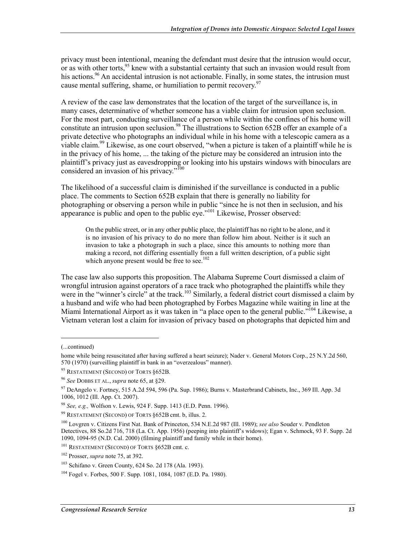privacy must been intentional, meaning the defendant must desire that the intrusion would occur, or as with other torts,<sup>95</sup> knew with a substantial certainty that such an invasion would result from his actions.<sup>96</sup> An accidental intrusion is not actionable. Finally, in some states, the intrusion must cause mental suffering, shame, or humiliation to permit recovery.  $97$ 

A review of the case law demonstrates that the location of the target of the surveillance is, in many cases, determinative of whether someone has a viable claim for intrusion upon seclusion. For the most part, conducting surveillance of a person while within the confines of his home will constitute an intrusion upon seclusion.<sup>98</sup> The illustrations to Section 652B offer an example of a private detective who photographs an individual while in his home with a telescopic camera as a viable claim.<sup>99</sup> Likewise, as one court observed, "when a picture is taken of a plaintiff while he is in the privacy of his home, ... the taking of the picture may be considered an intrusion into the plaintiff's privacy just as eavesdropping or looking into his upstairs windows with binoculars are considered an invasion of his privacy."<sup>100</sup>

The likelihood of a successful claim is diminished if the surveillance is conducted in a public place. The comments to Section 652B explain that there is generally no liability for photographing or observing a person while in public "since he is not then in seclusion, and his appearance is public and open to the public eye."<sup>101</sup> Likewise, Prosser observed:

On the public street, or in any other public place, the plaintiff has no right to be alone, and it is no invasion of his privacy to do no more than follow him about. Neither is it such an invasion to take a photograph in such a place, since this amounts to nothing more than making a record, not differing essentially from a full written description, of a public sight which anyone present would be free to see.<sup>102</sup>

The case law also supports this proposition. The Alabama Supreme Court dismissed a claim of wrongful intrusion against operators of a race track who photographed the plaintiffs while they were in the "winner's circle" at the track.<sup>103</sup> Similarly, a federal district court dismissed a claim by a husband and wife who had been photographed by Forbes Magazine while waiting in line at the Miami International Airport as it was taken in "a place open to the general public."<sup>104</sup> Likewise, a Vietnam veteran lost a claim for invasion of privacy based on photographs that depicted him and

 $\overline{a}$ 

<sup>(...</sup>continued)

home while being resuscitated after having suffered a heart seizure); Nader v. General Motors Corp., 25 N.Y.2d 560, 570 (1970) (surveilling plaintiff in bank in an "overzealous" manner).

<sup>&</sup>lt;sup>95</sup> RESTATEMENT (SECOND) OF TORTS §652B.

<sup>96</sup> *See* DOBBS ET AL., *supra* note 65, at §29.

 $97$  DeAngelo v. Fortney, 515 A.2d 594, 596 (Pa. Sup. 1986); Burns v. Masterbrand Cabinets, Inc., 369 Ill. App. 3d 1006, 1012 (Ill. App. Ct. 2007).

<sup>98</sup> *See, e.g.,* Wolfson v. Lewis, 924 F. Supp. 1413 (E.D. Penn. 1996).

<sup>99</sup> RESTATEMENT (SECOND) OF TORTS §652B cmt. b, illus. 2.

<sup>100</sup> Lovgren v. Citizens First Nat. Bank of Princeton, 534 N.E.2d 987 (Ill. 1989); *see also* Souder v. Pendleton Detectives, 88 So.2d 716, 718 (La. Ct. App. 1956) (peeping into plaintiff's widows); Egan v. Schmock, 93 F. Supp. 2d 1090, 1094-95 (N.D. Cal. 2000) (filming plaintiff and family while in their home).

<sup>&</sup>lt;sup>101</sup> RESTATEMENT (SECOND) OF TORTS §652B cmt. c.

<sup>102</sup> Prosser, *supra* note 75, at 392.

<sup>103</sup> Schifano v. Green County, 624 So. 2d 178 (Ala. 1993).

<sup>104</sup> Fogel v. Forbes, 500 F. Supp. 1081, 1084, 1087 (E.D. Pa. 1980).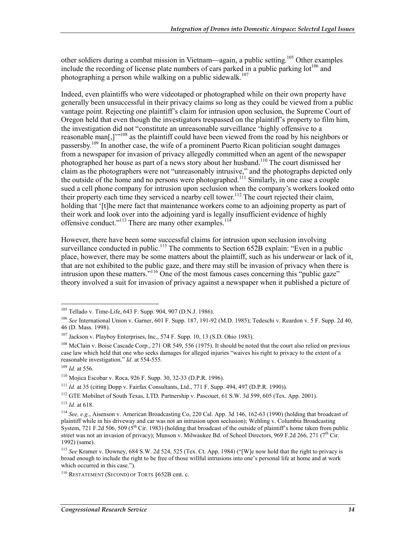other soldiers during a combat mission in Vietnam—again, a public setting.<sup>105</sup> Other examples include the recording of license plate numbers of cars parked in a public parking lot<sup>106</sup> and photographing a person while walking on a public sidewalk.<sup>107</sup>

Indeed, even plaintiffs who were videotaped or photographed while on their own property have generally been unsuccessful in their privacy claims so long as they could be viewed from a public vantage point. Rejecting one plaintiff's claim for intrusion upon seclusion, the Supreme Court of Oregon held that even though the investigators trespassed on the plaintiff's property to film him, the investigation did not "constitute an unreasonable surveillance 'highly offensive to a reasonable man[,]"<sup>108</sup> as the plaintiff could have been viewed from the road by his neighbors or passersby.<sup>109</sup> In another case, the wife of a prominent Puerto Rican politician sought damages from a newspaper for invasion of privacy allegedly committed when an agent of the newspaper photographed her house as part of a news story about her husband.<sup>110</sup> The court dismissed her claim as the photographers were not "unreasonably intrusive," and the photographs depicted only the outside of the home and no persons were photographed.<sup>111</sup> Similarly, in one case a couple sued a cell phone company for intrusion upon seclusion when the company's workers looked onto their property each time they serviced a nearby cell tower.<sup>112</sup> The court rejected their claim, holding that '[t]he mere fact that maintenance workers come to an adjoining property as part of their work and look over into the adjoining yard is legally insufficient evidence of highly offensive conduct."<sup>113</sup> There are many other examples.<sup>114</sup>

However, there have been some successful claims for intrusion upon seclusion involving surveillance conducted in public.<sup>115</sup> The comments to Section 652B explain: "Even in a public place, however, there may be some matters about the plaintiff, such as his underwear or lack of it, that are not exhibited to the public gaze, and there may still be invasion of privacy when there is intrusion upon these matters.<sup>"116</sup> One of the most famous cases concerning this "public gaze" theory involved a suit for invasion of privacy against a newspaper when it published a picture of

<sup>&</sup>lt;sup>105</sup> Tellado v. Time-Life, 643 F. Supp. 904, 907 (D.N.J. 1986).

<sup>106</sup> *See* International Union v. Garner, 601 F. Supp. 187, 191-92 (M.D. 1985); Tedeschi v. Reardon v. 5 F. Supp. 2d 40, 46 (D. Mass. 1998).

<sup>107</sup> Jackson v. Playboy Enterprises, Inc., 574 F. Supp. 10, 13 (S.D. Ohio 1983).

<sup>&</sup>lt;sup>108</sup> McClain v. Boise Cascade Corp., 271 OR 549, 556 (1975). It should be noted that the court also relied on previous case law which held that one who seeks damages for alleged injuries "waives his right to privacy to the extent of a reasonable investigation." *Id.* at 554-555.

<sup>109</sup> *Id.* at 556.

<sup>110</sup> Mojica Escobar v. Roca, 926 F. Supp. 30, 32-33 (D.P.R. 1996).

<sup>111</sup> *Id.* at 35 (citing Dopp v. Fairfax Consultants, Ltd., 771 F. Supp. 494, 497 (D.P.R. 1990)).

<sup>112</sup> GTE Mobilnet of South Texas, LTD. Partnership v. Pascouet, 61 S.W. 3d 599, 605 (Tex. App. 2001).

<sup>113</sup> *Id.* at 618.

<sup>114</sup> *See, e.g.*, Aisenson v. American Broadcasting Co, 220 Cal. App. 3d 146, 162-63 (1990) (holding that broadcast of plaintiff while in his driveway and car was not an intrusion upon seclusion); Wehling v. Columbia Broadcasting System, 721 F.2d 506, 509 ( $5^{th}$  Cir. 1983) (holding that broadcast of the outside of plaintiff's home taken from public street was not an invasion of privacy); Munson v. Milwaukee Bd. of School Directors, 969 F.2d 266, 271 (7<sup>th</sup> Cir. 1992) (same).

<sup>115</sup> *See* Kramer v. Downey, 684 S.W. 2d 524, 525 (Tex. Ct. App. 1984) ("[W]e now hold that the right to privacy is broad enough to include the right to be free of those willful intrusions into one's personal life at home and at work which occurred in this case.").

<sup>116</sup> RESTATEMENT (SECOND) OF TORTS §652B cmt. c.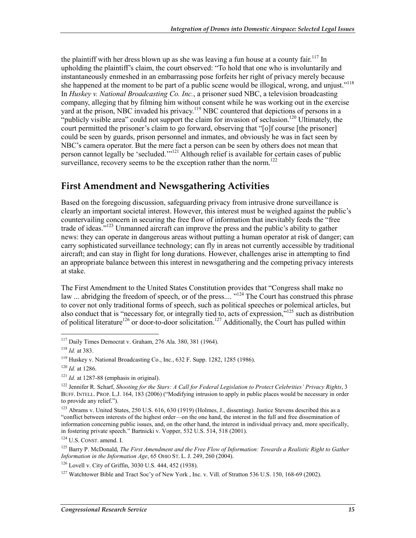the plaintiff with her dress blown up as she was leaving a fun house at a county fair.<sup>117</sup> In upholding the plaintiff's claim, the court observed: "To hold that one who is involuntarily and instantaneously enmeshed in an embarrassing pose forfeits her right of privacy merely because she happened at the moment to be part of a public scene would be illogical, wrong, and unjust."<sup>118</sup> In *Huskey v. National Broadcasting Co. Inc.*, a prisoner sued NBC, a television broadcasting company, alleging that by filming him without consent while he was working out in the exercise yard at the prison, NBC invaded his privacy.<sup>119</sup> NBC countered that depictions of persons in a "publicly visible area" could not support the claim for invasion of seclusion.<sup>120</sup> Ultimately, the court permitted the prisoner's claim to go forward, observing that "[o]f course [the prisoner] could be seen by guards, prison personnel and inmates, and obviously he was in fact seen by NBC's camera operator. But the mere fact a person can be seen by others does not mean that person cannot legally be 'secluded.'"121 Although relief is available for certain cases of public surveillance, recovery seems to be the exception rather than the norm.<sup>122</sup>

### **First Amendment and Newsgathering Activities**

Based on the foregoing discussion, safeguarding privacy from intrusive drone surveillance is clearly an important societal interest. However, this interest must be weighed against the public's countervailing concern in securing the free flow of information that inevitably feeds the "free trade of ideas.<sup>"123</sup> Unmanned aircraft can improve the press and the public's ability to gather news: they can operate in dangerous areas without putting a human operator at risk of danger; can carry sophisticated surveillance technology; can fly in areas not currently accessible by traditional aircraft; and can stay in flight for long durations. However, challenges arise in attempting to find an appropriate balance between this interest in newsgathering and the competing privacy interests at stake.

The First Amendment to the United States Constitution provides that "Congress shall make no law ... abridging the freedom of speech, or of the press.... "<sup>124</sup> The Court has construed this phrase to cover not only traditional forms of speech, such as political speeches or polemical articles, but also conduct that is "necessary for, or integrally tied to, acts of expression,"<sup>125</sup> such as distribution of political literature<sup>126</sup> or door-to-door solicitation.<sup>127</sup> Additionally, the Court has pulled within

1

124 U.S. CONST. amend. I.

125 Barry P. McDonald, *The First Amendment and the Free Flow of Information: Towards a Realistic Right to Gather Information in the Information Age*, 65 OHIO ST. L. J. 249, 260 (2004).

126 Lovell v. City of Griffin, 3030 U.S. 444, 452 (1938).

<sup>117</sup> Daily Times Democrat v. Graham, 276 Ala. 380, 381 (1964).

<sup>118</sup> *Id.* at 383.

<sup>119</sup> Huskey v. National Broadcasting Co., Inc., 632 F. Supp. 1282, 1285 (1986).

<sup>120</sup> *Id.* at 1286.

 $121$  *Id.* at 1287-88 (emphasis in original).

<sup>&</sup>lt;sup>122</sup> Jennifer R. Scharf, *Shooting for the Stars: A Call for Federal Legislation to Protect Celebrities' Privacy Rights*, 3 BUFF. INTELL. PROP. L.J. 164, 183 (2006) ("Modifying intrusion to apply in public places would be necessary in order to provide any relief.").

<sup>&</sup>lt;sup>123</sup> Abrams v. United States, 250 U.S. 616, 630 (1919) (Holmes, J., dissenting). Justice Stevens described this as a "conflict between interests of the highest order—on the one hand, the interest in the full and free dissemination of information concerning public issues, and, on the other hand, the interest in individual privacy and, more specifically, in fostering private speech." Bartnicki v. Vopper, 532 U.S. 514, 518 (2001).

<sup>&</sup>lt;sup>127</sup> Watchtower Bible and Tract Soc'y of New York , Inc. v. Vill. of Stratton 536 U.S. 150, 168-69 (2002).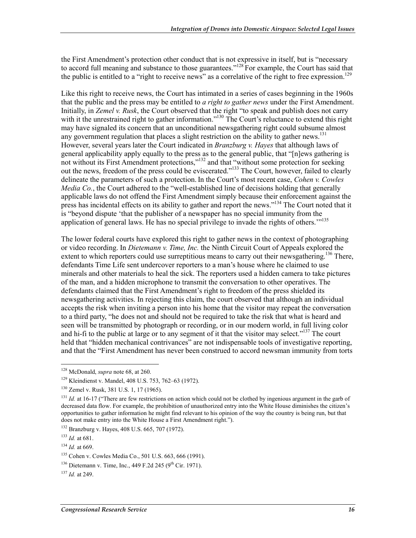the First Amendment's protection other conduct that is not expressive in itself, but is "necessary to accord full meaning and substance to those guarantees."<sup>128</sup> For example, the Court has said that the public is entitled to a "right to receive news" as a correlative of the right to free expression.<sup>129</sup>

Like this right to receive news, the Court has intimated in a series of cases beginning in the 1960s that the public and the press may be entitled to *a right to gather news* under the First Amendment. Initially, in *Zemel v. Rusk*, the Court observed that the right "to speak and publish does not carry with it the unrestrained right to gather information."<sup>130</sup> The Court's reluctance to extend this right may have signaled its concern that an unconditional newsgathering right could subsume almost any government regulation that places a slight restriction on the ability to gather news.<sup>131</sup> However, several years later the Court indicated in *Branzburg v. Hayes* that although laws of general applicability apply equally to the press as to the general public, that "[n]ews gathering is not without its First Amendment protections,"<sup>132</sup> and that "without some protection for seeking out the news, freedom of the press could be eviscerated."<sup>133</sup> The Court, however, failed to clearly delineate the parameters of such a protection.In the Court's most recent case, *Cohen v. Cowles Media Co.*, the Court adhered to the "well-established line of decisions holding that generally applicable laws do not offend the First Amendment simply because their enforcement against the press has incidental effects on its ability to gather and report the news."<sup>134</sup> The Court noted that it is "beyond dispute 'that the publisher of a newspaper has no special immunity from the application of general laws. He has no special privilege to invade the rights of others."<sup>135</sup>

The lower federal courts have explored this right to gather news in the context of photographing or video recording. In *Dietemann v. Time, Inc.* the Ninth Circuit Court of Appeals explored the extent to which reporters could use surreptitious means to carry out their newsgathering.<sup>136</sup> There, defendants Time Life sent undercover reporters to a man's house where he claimed to use minerals and other materials to heal the sick. The reporters used a hidden camera to take pictures of the man, and a hidden microphone to transmit the conversation to other operatives. The defendants claimed that the First Amendment's right to freedom of the press shielded its newsgathering activities. In rejecting this claim, the court observed that although an individual accepts the risk when inviting a person into his home that the visitor may repeat the conversation to a third party, "he does not and should not be required to take the risk that what is heard and seen will be transmitted by photograph or recording, or in our modern world, in full living color and hi-fi to the public at large or to any segment of it that the visitor may select."<sup>137</sup> The court held that "hidden mechanical contrivances" are not indispensable tools of investigative reporting, and that the "First Amendment has never been construed to accord newsman immunity from torts

<sup>128</sup> McDonald, *supra* note 68, at 260.

<sup>129</sup> Kleindienst v. Mandel, 408 U.S. 753, 762–63 (1972).

<sup>130</sup> Zemel v. Rusk, 381 U.S. 1, 17 (1965).

<sup>&</sup>lt;sup>131</sup> *Id.* at 16-17 ("There are few restrictions on action which could not be clothed by ingenious argument in the garb of decreased data flow. For example, the prohibition of unauthorized entry into the White House diminishes the citizen's opportunities to gather information he might find relevant to his opinion of the way the country is being run, but that does not make entry into the White House a First Amendment right.").

<sup>132</sup> Branzburg v. Hayes, 408 U.S. 665, 707 (1972).

<sup>133</sup> *Id.* at 681.

<sup>134</sup> *Id.* at 669.

<sup>135</sup> Cohen v. Cowles Media Co., 501 U.S. 663, 666 (1991).

 $136$  Dietemann v. Time, Inc., 449 F.2d 245 (9<sup>th</sup> Cir. 1971).

<sup>137</sup> *Id.* at 249.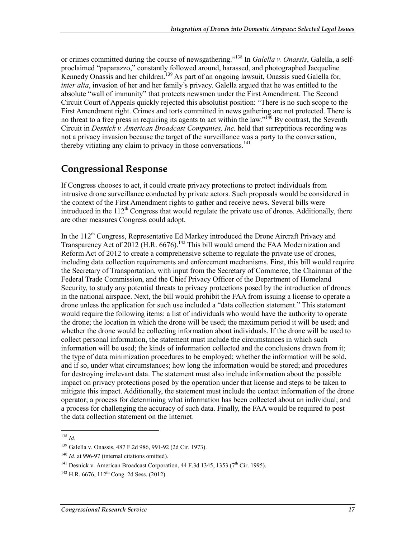or crimes committed during the course of newsgathering."138 In *Galella v. Onassis*, Galella, a selfproclaimed "paparazzo," constantly followed around, harassed, and photographed Jacqueline Kennedy Onassis and her children.<sup>139</sup> As part of an ongoing lawsuit, Onassis sued Galella for, *inter alia*, invasion of her and her family's privacy. Galella argued that he was entitled to the absolute "wall of immunity" that protects newsmen under the First Amendment. The Second Circuit Court of Appeals quickly rejected this absolutist position: "There is no such scope to the First Amendment right. Crimes and torts committed in news gathering are not protected. There is no threat to a free press in requiring its agents to act within the law." $\frac{140}{4}$  By contrast, the Seventh Circuit in *Desnick v. American Broadcast Companies, Inc.* held that surreptitious recording was not a privacy invasion because the target of the surveillance was a party to the conversation, thereby vitiating any claim to privacy in those conversations. $141$ 

### **Congressional Response**

If Congress chooses to act, it could create privacy protections to protect individuals from intrusive drone surveillance conducted by private actors. Such proposals would be considered in the context of the First Amendment rights to gather and receive news. Several bills were introduced in the  $112<sup>th</sup>$  Congress that would regulate the private use of drones. Additionally, there are other measures Congress could adopt.

In the  $112<sup>th</sup>$  Congress, Representative Ed Markey introduced the Drone Aircraft Privacy and Transparency Act of 2012 (H.R. 6676).<sup>142</sup> This bill would amend the FAA Modernization and Reform Act of 2012 to create a comprehensive scheme to regulate the private use of drones, including data collection requirements and enforcement mechanisms. First, this bill would require the Secretary of Transportation, with input from the Secretary of Commerce, the Chairman of the Federal Trade Commission, and the Chief Privacy Officer of the Department of Homeland Security, to study any potential threats to privacy protections posed by the introduction of drones in the national airspace. Next, the bill would prohibit the FAA from issuing a license to operate a drone unless the application for such use included a "data collection statement." This statement would require the following items: a list of individuals who would have the authority to operate the drone; the location in which the drone will be used; the maximum period it will be used; and whether the drone would be collecting information about individuals. If the drone will be used to collect personal information, the statement must include the circumstances in which such information will be used; the kinds of information collected and the conclusions drawn from it; the type of data minimization procedures to be employed; whether the information will be sold, and if so, under what circumstances; how long the information would be stored; and procedures for destroying irrelevant data. The statement must also include information about the possible impact on privacy protections posed by the operation under that license and steps to be taken to mitigate this impact. Additionally, the statement must include the contact information of the drone operator; a process for determining what information has been collected about an individual; and a process for challenging the accuracy of such data. Finally, the FAA would be required to post the data collection statement on the Internet.

<sup>1</sup> <sup>138</sup> *Id.* 

<sup>139</sup> Galella v. Onassis, 487 F.2d 986, 991-92 (2d Cir. 1973).

<sup>&</sup>lt;sup>140</sup> *Id.* at 996-97 (internal citations omitted).

<sup>&</sup>lt;sup>141</sup> Desnick v. American Broadcast Corporation, 44 F.3d 1345, 1353 ( $7<sup>th</sup>$  Cir. 1995).

 $142$  H.R. 6676,  $112$ <sup>th</sup> Cong. 2d Sess. (2012).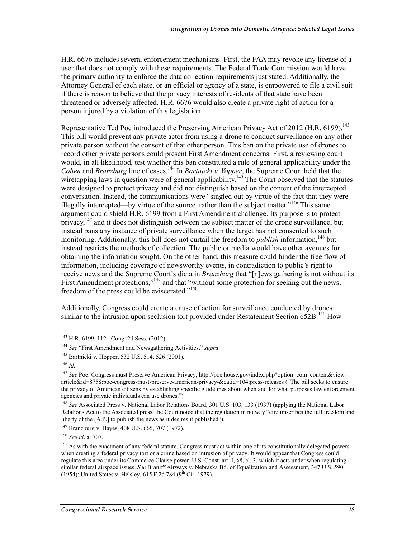H.R. 6676 includes several enforcement mechanisms. First, the FAA may revoke any license of a user that does not comply with these requirements. The Federal Trade Commission would have the primary authority to enforce the data collection requirements just stated. Additionally, the Attorney General of each state, or an official or agency of a state, is empowered to file a civil suit if there is reason to believe that the privacy interests of residents of that state have been threatened or adversely affected. H.R. 6676 would also create a private right of action for a person injured by a violation of this legislation.

Representative Ted Poe introduced the Preserving American Privacy Act of 2012 (H.R. 6199).<sup>143</sup> This bill would prevent any private actor from using a drone to conduct surveillance on any other private person without the consent of that other person. This ban on the private use of drones to record other private persons could present First Amendment concerns. First, a reviewing court would, in all likelihood, test whether this ban constituted a rule of general applicability under the *Cohen* and *Branzburg* line of cases.<sup>144</sup> In *Bartnicki v. Vopper*, the Supreme Court held that the wiretapping laws in question were of general applicability.<sup>145</sup> The Court observed that the statutes were designed to protect privacy and did not distinguish based on the content of the intercepted conversation. Instead, the communications were "singled out by virtue of the fact that they were illegally intercepted—by virtue of the source, rather than the subject matter."146 This same argument could shield H.R. 6199 from a First Amendment challenge. Its purpose is to protect privacy,<sup>147</sup> and it does not distinguish between the subject matter of the drone surveillance, but instead bans any instance of private surveillance when the target has not consented to such monitoring. Additionally, this bill does not curtail the freedom to *publish* information.<sup>148</sup> but instead restricts the methods of collection. The public or media would have other avenues for obtaining the information sought. On the other hand, this measure could hinder the free flow of information, including coverage of newsworthy events, in contradiction to public's right to receive news and the Supreme Court's dicta in *Branzburg* that "[n]ews gathering is not without its First Amendment protections,"<sup>149</sup> and that "without some protection for seeking out the news, freedom of the press could be eviscerated."150

Additionally, Congress could create a cause of action for surveillance conducted by drones similar to the intrusion upon seclusion tort provided under Restatement Section 652B.<sup>151</sup> How

1

<sup>148</sup> *See* Associated Press v. National Labor Relations Board, 301 U.S. 103, 133 (1937) (applying the National Labor Relations Act to the Associated press, the Court noted that the regulation in no way "circumscribes the full freedom and liberty of the [A.P.] to publish the news as it desires it published").

<sup>&</sup>lt;sup>143</sup> H.R. 6199, 112<sup>th</sup> Cong. 2d Sess. (2012).

<sup>144</sup> *See* "First Amendment and Newsgathering Activities," *supra*.

<sup>&</sup>lt;sup>145</sup> Bartnicki v. Hopper, 532 U.S. 514, 526 (2001).

<sup>146</sup> *Id.*

<sup>&</sup>lt;sup>147</sup> *See* Poe: Congress must Preserve American Privacy, http://poe.house.gov/index.php?option=com\_content&view= article&id=8758:poe-congress-must-preserve-american-privacy-&catid=104:press-releases ("The bill seeks to ensure the privacy of American citizens by establishing specific guidelines about when and for what purposes law enforcement agencies and private individuals can use drones.")

<sup>149</sup> Branzburg v. Hayes, 408 U.S. 665, 707 (1972).

<sup>150</sup> *See id*. at 707.

<sup>&</sup>lt;sup>151</sup> As with the enactment of any federal statute, Congress must act within one of its constitutionally delegated powers when creating a federal privacy tort or a crime based on intrusion of privacy. It would appear that Congress could regulate this area under its Commerce Clause power, U.S. Const. art. I, §8, cl. 3, which it acts under when regulating similar federal airspace issues. *See* Braniff Airways v. Nebraska Bd. of Equalization and Assessment, 347 U.S. 590 (1954); United States v. Helsley, 615 F.2d 784 ( $9^{th}$  Cir. 1979).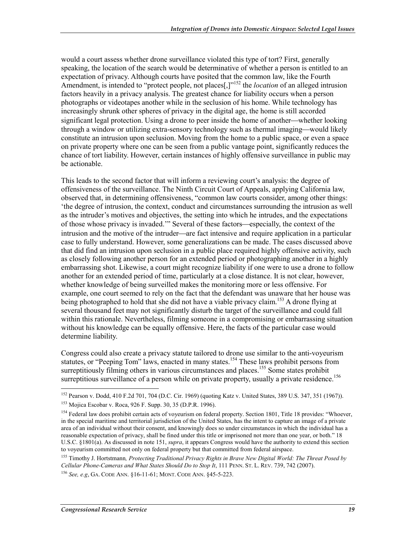would a court assess whether drone surveillance violated this type of tort? First, generally speaking, the location of the search would be determinative of whether a person is entitled to an expectation of privacy. Although courts have posited that the common law, like the Fourth Amendment, is intended to "protect people, not places<sup>[1]"152</sup> the *location* of an alleged intrusion factors heavily in a privacy analysis. The greatest chance for liability occurs when a person photographs or videotapes another while in the seclusion of his home. While technology has increasingly shrunk other spheres of privacy in the digital age, the home is still accorded significant legal protection. Using a drone to peer inside the home of another—whether looking through a window or utilizing extra-sensory technology such as thermal imaging—would likely constitute an intrusion upon seclusion. Moving from the home to a public space, or even a space on private property where one can be seen from a public vantage point, significantly reduces the chance of tort liability. However, certain instances of highly offensive surveillance in public may be actionable.

This leads to the second factor that will inform a reviewing court's analysis: the degree of offensiveness of the surveillance. The Ninth Circuit Court of Appeals, applying California law, observed that, in determining offensiveness, "common law courts consider, among other things: 'the degree of intrusion, the context, conduct and circumstances surrounding the intrusion as well as the intruder's motives and objectives, the setting into which he intrudes, and the expectations of those whose privacy is invaded." Several of these factors—especially, the context of the intrusion and the motive of the intruder—are fact intensive and require application in a particular case to fully understand. However, some generalizations can be made. The cases discussed above that did find an intrusion upon seclusion in a public place required highly offensive activity, such as closely following another person for an extended period or photographing another in a highly embarrassing shot. Likewise, a court might recognize liability if one were to use a drone to follow another for an extended period of time, particularly at a close distance. It is not clear, however, whether knowledge of being surveilled makes the monitoring more or less offensive. For example, one court seemed to rely on the fact that the defendant was unaware that her house was being photographed to hold that she did not have a viable privacy claim.<sup>153</sup> A drone flying at several thousand feet may not significantly disturb the target of the surveillance and could fall within this rationale. Nevertheless, filming someone in a compromising or embarrassing situation without his knowledge can be equally offensive. Here, the facts of the particular case would determine liability.

Congress could also create a privacy statute tailored to drone use similar to the anti-voyeurism statutes, or "Peeping Tom" laws, enacted in many states.<sup>154</sup> These laws prohibit persons from surreptitiously filming others in various circumstances and places.<sup>155</sup> Some states prohibit surreptitious surveillance of a person while on private property, usually a private residence.<sup>156</sup>

<sup>152</sup> Pearson v. Dodd, 410 F.2d 701, 704 (D.C. Cir. 1969) (quoting Katz v. United States, 389 U.S. 347, 351 (1967)).

<sup>153</sup> Mojica Escobar v. Roca, 926 F. Supp. 30, 35 (D.P.R. 1996).

<sup>&</sup>lt;sup>154</sup> Federal law does prohibit certain acts of voyeurism on federal property. Section 1801, Title 18 provides: "Whoever, in the special maritime and territorial jurisdiction of the United States, has the intent to capture an image of a private area of an individual without their consent, and knowingly does so under circumstances in which the individual has a reasonable expectation of privacy, shall be fined under this title or imprisoned not more than one year, or both." 18 U.S.C. §1801(a). As discussed in note 151, *supra*, it appears Congress would have the authority to extend this section to voyeurism committed not only on federal property but that committed from federal airspace.

<sup>155</sup> Timothy J. Hortstmann*, Protecting Traditional Privacy Rights in Brave New Digital World: The Threat Posed by Cellular Phone-Cameras and What States Should Do to Stop It*, 111 PENN. ST. L. REV. 739, 742 (2007).

<sup>156</sup> *See, e.g*, GA. CODE ANN. §16-11-61; MONT. CODE ANN. §45-5-223.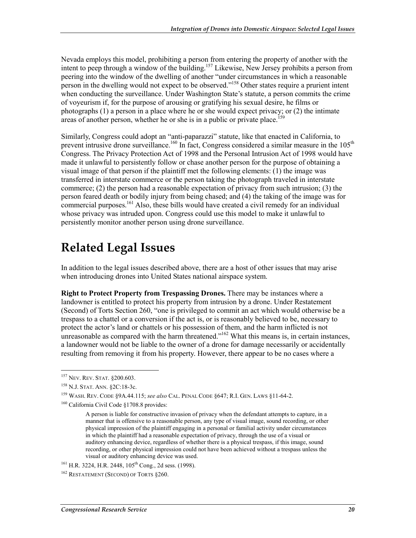Nevada employs this model, prohibiting a person from entering the property of another with the intent to peep through a window of the building.<sup>157</sup> Likewise, New Jersey prohibits a person from peering into the window of the dwelling of another "under circumstances in which a reasonable person in the dwelling would not expect to be observed.<sup>"158</sup> Other states require a prurient intent when conducting the surveillance. Under Washington State's statute, a person commits the crime of voyeurism if, for the purpose of arousing or gratifying his sexual desire, he films or photographs (1) a person in a place where he or she would expect privacy; or (2) the intimate areas of another person, whether he or she is in a public or private place.<sup>15</sup>

Similarly, Congress could adopt an "anti-paparazzi" statute, like that enacted in California, to prevent intrusive drone surveillance.<sup>160</sup> In fact, Congress considered a similar measure in the 105<sup>th</sup> Congress. The Privacy Protection Act of 1998 and the Personal Intrusion Act of 1998 would have made it unlawful to persistently follow or chase another person for the purpose of obtaining a visual image of that person if the plaintiff met the following elements: (1) the image was transferred in interstate commerce or the person taking the photograph traveled in interstate commerce; (2) the person had a reasonable expectation of privacy from such intrusion; (3) the person feared death or bodily injury from being chased; and (4) the taking of the image was for commercial purposes.<sup>161</sup> Also, these bills would have created a civil remedy for an individual whose privacy was intruded upon. Congress could use this model to make it unlawful to persistently monitor another person using drone surveillance.

## **Related Legal Issues**

In addition to the legal issues described above, there are a host of other issues that may arise when introducing drones into United States national airspace system.

**Right to Protect Property from Trespassing Drones.** There may be instances where a landowner is entitled to protect his property from intrusion by a drone. Under Restatement (Second) of Torts Section 260, "one is privileged to commit an act which would otherwise be a trespass to a chattel or a conversion if the act is, or is reasonably believed to be, necessary to protect the actor's land or chattels or his possession of them, and the harm inflicted is not unreasonable as compared with the harm threatened.<sup> $162$ </sup> What this means is, in certain instances, a landowner would not be liable to the owner of a drone for damage necessarily or accidentally resulting from removing it from his property. However, there appear to be no cases where a

<sup>&</sup>lt;sup>157</sup> Nev. Rev. Stat. §200.603.

<sup>158</sup> N.J. STAT. ANN. §2C:18-3c.

<sup>159</sup> WASH. REV. CODE §9A.44.115; *see also* CAL. PENAL CODE §647; R.I. GEN. LAWS §11-64-2.

<sup>160</sup> California Civil Code §1708.8 provides:

A person is liable for constructive invasion of privacy when the defendant attempts to capture, in a manner that is offensive to a reasonable person, any type of visual image, sound recording, or other physical impression of the plaintiff engaging in a personal or familial activity under circumstances in which the plaintiff had a reasonable expectation of privacy, through the use of a visual or auditory enhancing device, regardless of whether there is a physical trespass, if this image, sound recording, or other physical impression could not have been achieved without a trespass unless the visual or auditory enhancing device was used.

 $161$  H.R. 3224, H.R. 2448,  $105$ <sup>th</sup> Cong., 2d sess. (1998).

<sup>162</sup> RESTATEMENT (SECOND) OF TORTS §260.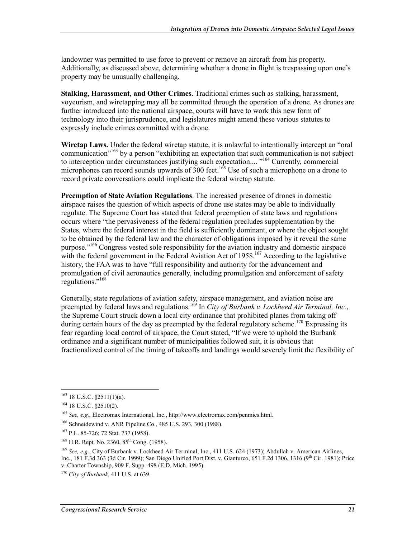landowner was permitted to use force to prevent or remove an aircraft from his property. Additionally, as discussed above, determining whether a drone in flight is trespassing upon one's property may be unusually challenging.

**Stalking, Harassment, and Other Crimes.** Traditional crimes such as stalking, harassment, voyeurism, and wiretapping may all be committed through the operation of a drone. As drones are further introduced into the national airspace, courts will have to work this new form of technology into their jurisprudence, and legislatures might amend these various statutes to expressly include crimes committed with a drone.

**Wiretap Laws.** Under the federal wiretap statute, it is unlawful to intentionally intercept an "oral communication<sup>"163</sup> by a person "exhibiting an expectation that such communication is not subject to interception under circumstances justifying such expectation....<sup>"164</sup> Currently, commercial microphones can record sounds upwards of 300 feet.<sup>165</sup> Use of such a microphone on a drone to record private conversations could implicate the federal wiretap statute.

**Preemption of State Aviation Regulations**. The increased presence of drones in domestic airspace raises the question of which aspects of drone use states may be able to individually regulate. The Supreme Court has stated that federal preemption of state laws and regulations occurs where "the pervasiveness of the federal regulation precludes supplementation by the States, where the federal interest in the field is sufficiently dominant, or where the object sought to be obtained by the federal law and the character of obligations imposed by it reveal the same purpose."166 Congress vested sole responsibility for the aviation industry and domestic airspace with the federal government in the Federal Aviation Act of 1958.<sup>167</sup> According to the legislative history, the FAA was to have "full responsibility and authority for the advancement and promulgation of civil aeronautics generally, including promulgation and enforcement of safety regulations."168

Generally, state regulations of aviation safety, airspace management, and aviation noise are preempted by federal laws and regulations.<sup>169</sup> In *City of Burbank v. Lockheed Air Terminal, Inc.*, the Supreme Court struck down a local city ordinance that prohibited planes from taking off during certain hours of the day as preempted by the federal regulatory scheme.<sup>170</sup> Expressing its fear regarding local control of airspace, the Court stated, "If we were to uphold the Burbank ordinance and a significant number of municipalities followed suit, it is obvious that fractionalized control of the timing of takeoffs and landings would severely limit the flexibility of

 $163$  18 U.S.C. §2511(1)(a).

<sup>164 18</sup> U.S.C. §2510(2).

<sup>165</sup> *See, e.g.*, Electromax International, Inc., http://www.electromax.com/penmics.html.

<sup>166</sup> Schneidewind v. ANR Pipeline Co., 485 U.S. 293, 300 (1988).

<sup>167</sup> P.L. 85-726; 72 Stat. 737 (1958).

 $168$  H.R. Rept. No. 2360,  $85<sup>th</sup>$  Cong. (1958).

<sup>169</sup> *See, e.g.*, City of Burbank v. Lockheed Air Terminal, Inc., 411 U.S. 624 (1973); Abdullah v. American Airlines, Inc., 181 F.3d 363 (3d Cir. 1999); San Diego Unified Port Dist. v. Gianturco, 651 F.2d 1306, 1316 (9th Cir. 1981); Price v. Charter Township, 909 F. Supp. 498 (E.D. Mich. 1995).

<sup>170</sup> *City of Burbank*, 411 U.S. at 639.